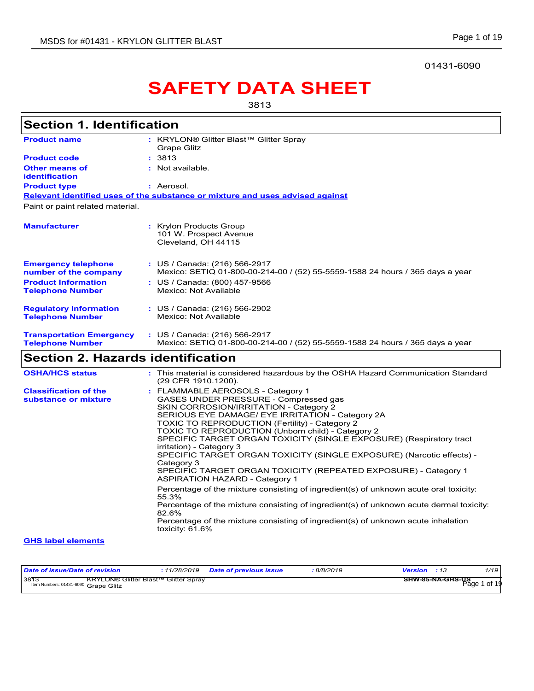01431-6090

# **SAFETY DATA SHEET**

3813

| <b>Section 1. Identification</b>                           |                                                                                                                                                                                                                                                                                                                                                                                                                                                                                                                                                                                                                                                                                                                                                                                                                                                                                                            |
|------------------------------------------------------------|------------------------------------------------------------------------------------------------------------------------------------------------------------------------------------------------------------------------------------------------------------------------------------------------------------------------------------------------------------------------------------------------------------------------------------------------------------------------------------------------------------------------------------------------------------------------------------------------------------------------------------------------------------------------------------------------------------------------------------------------------------------------------------------------------------------------------------------------------------------------------------------------------------|
|                                                            |                                                                                                                                                                                                                                                                                                                                                                                                                                                                                                                                                                                                                                                                                                                                                                                                                                                                                                            |
| <b>Product name</b>                                        | : KRYLON® Glitter Blast™ Glitter Spray<br>Grape Glitz                                                                                                                                                                                                                                                                                                                                                                                                                                                                                                                                                                                                                                                                                                                                                                                                                                                      |
| <b>Product code</b>                                        | : 3813                                                                                                                                                                                                                                                                                                                                                                                                                                                                                                                                                                                                                                                                                                                                                                                                                                                                                                     |
| <b>Other means of</b><br>identification                    | : Not available.                                                                                                                                                                                                                                                                                                                                                                                                                                                                                                                                                                                                                                                                                                                                                                                                                                                                                           |
| <b>Product type</b>                                        | : Aerosol.                                                                                                                                                                                                                                                                                                                                                                                                                                                                                                                                                                                                                                                                                                                                                                                                                                                                                                 |
|                                                            | Relevant identified uses of the substance or mixture and uses advised against                                                                                                                                                                                                                                                                                                                                                                                                                                                                                                                                                                                                                                                                                                                                                                                                                              |
| Paint or paint related material.                           |                                                                                                                                                                                                                                                                                                                                                                                                                                                                                                                                                                                                                                                                                                                                                                                                                                                                                                            |
| <b>Manufacturer</b>                                        | : Krylon Products Group<br>101 W. Prospect Avenue<br>Cleveland, OH 44115                                                                                                                                                                                                                                                                                                                                                                                                                                                                                                                                                                                                                                                                                                                                                                                                                                   |
| <b>Emergency telephone</b><br>number of the company        | : US / Canada: (216) 566-2917<br>Mexico: SETIQ 01-800-00-214-00 / (52) 55-5559-1588 24 hours / 365 days a year                                                                                                                                                                                                                                                                                                                                                                                                                                                                                                                                                                                                                                                                                                                                                                                             |
| <b>Product Information</b><br><b>Telephone Number</b>      | : US / Canada: (800) 457-9566<br>Mexico: Not Available                                                                                                                                                                                                                                                                                                                                                                                                                                                                                                                                                                                                                                                                                                                                                                                                                                                     |
| <b>Regulatory Information</b><br><b>Telephone Number</b>   | : US / Canada: (216) 566-2902<br>Mexico: Not Available                                                                                                                                                                                                                                                                                                                                                                                                                                                                                                                                                                                                                                                                                                                                                                                                                                                     |
| <b>Transportation Emergency</b><br><b>Telephone Number</b> | : US / Canada: (216) 566-2917<br>Mexico: SETIQ 01-800-00-214-00 / (52) 55-5559-1588 24 hours / 365 days a year                                                                                                                                                                                                                                                                                                                                                                                                                                                                                                                                                                                                                                                                                                                                                                                             |
| <b>Section 2. Hazards identification</b>                   |                                                                                                                                                                                                                                                                                                                                                                                                                                                                                                                                                                                                                                                                                                                                                                                                                                                                                                            |
| <b>OSHA/HCS status</b>                                     | : This material is considered hazardous by the OSHA Hazard Communication Standard<br>(29 CFR 1910.1200).                                                                                                                                                                                                                                                                                                                                                                                                                                                                                                                                                                                                                                                                                                                                                                                                   |
| <b>Classification of the</b><br>substance or mixture       | : FLAMMABLE AEROSOLS - Category 1<br>GASES UNDER PRESSURE - Compressed gas<br>SKIN CORROSION/IRRITATION - Category 2<br>SERIOUS EYE DAMAGE/ EYE IRRITATION - Category 2A<br><b>TOXIC TO REPRODUCTION (Fertility) - Category 2</b><br>TOXIC TO REPRODUCTION (Unborn child) - Category 2<br>SPECIFIC TARGET ORGAN TOXICITY (SINGLE EXPOSURE) (Respiratory tract<br>irritation) - Category 3<br>SPECIFIC TARGET ORGAN TOXICITY (SINGLE EXPOSURE) (Narcotic effects) -<br>Category 3<br>SPECIFIC TARGET ORGAN TOXICITY (REPEATED EXPOSURE) - Category 1<br><b>ASPIRATION HAZARD - Category 1</b><br>Percentage of the mixture consisting of ingredient(s) of unknown acute oral toxicity:<br>55.3%<br>Percentage of the mixture consisting of ingredient(s) of unknown acute dermal toxicity:<br>82.6%<br>Percentage of the mixture consisting of ingredient(s) of unknown acute inhalation<br>toxicity: 61.6% |
| <b>GHS label elements</b>                                  |                                                                                                                                                                                                                                                                                                                                                                                                                                                                                                                                                                                                                                                                                                                                                                                                                                                                                                            |

| Date of issue/Date of revision                                                              | 11/28/2019 | <b>Date of previous issue</b> | 8/8/2019 | <b>Version</b> : 13 |                  | 1/19         |
|---------------------------------------------------------------------------------------------|------------|-------------------------------|----------|---------------------|------------------|--------------|
| 3813<br><b>KRYLON® Glitter Blast™ Glitter Spray</b><br>Item Numbers: 01431-6090 Grape Glitz |            |                               |          |                     | SHW-85-NA-GHS-US | Page 1 of 19 |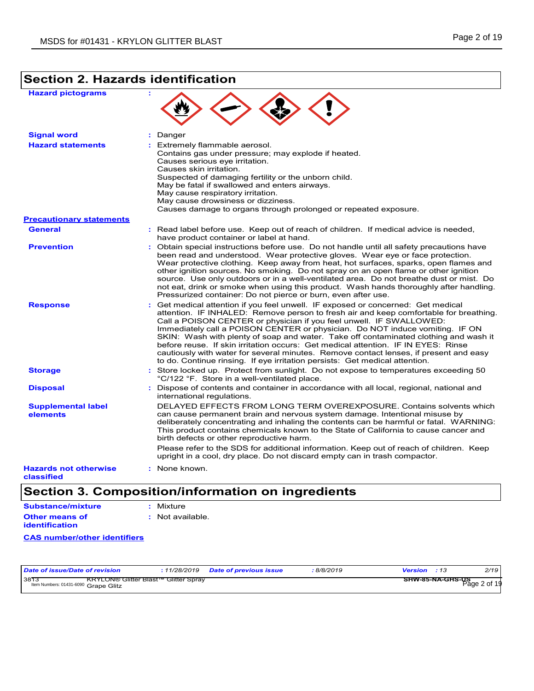# **Section 2. Hazards identification**

| <b>Hazard pictograms</b>                   | ÷                                                                                                                                                                                                                                                                                                                                                                                                                                                                                                                                                                                                                                                                                   |
|--------------------------------------------|-------------------------------------------------------------------------------------------------------------------------------------------------------------------------------------------------------------------------------------------------------------------------------------------------------------------------------------------------------------------------------------------------------------------------------------------------------------------------------------------------------------------------------------------------------------------------------------------------------------------------------------------------------------------------------------|
| <b>Signal word</b>                         | : Danger                                                                                                                                                                                                                                                                                                                                                                                                                                                                                                                                                                                                                                                                            |
| <b>Hazard statements</b>                   | : Extremely flammable aerosol.<br>Contains gas under pressure; may explode if heated.<br>Causes serious eve irritation.<br>Causes skin irritation.<br>Suspected of damaging fertility or the unborn child.<br>May be fatal if swallowed and enters airways.<br>May cause respiratory irritation.<br>May cause drowsiness or dizziness.<br>Causes damage to organs through prolonged or repeated exposure.                                                                                                                                                                                                                                                                           |
| <b>Precautionary statements</b>            |                                                                                                                                                                                                                                                                                                                                                                                                                                                                                                                                                                                                                                                                                     |
| <b>General</b>                             | : Read label before use. Keep out of reach of children. If medical advice is needed,<br>have product container or label at hand.                                                                                                                                                                                                                                                                                                                                                                                                                                                                                                                                                    |
| <b>Prevention</b>                          | : Obtain special instructions before use. Do not handle until all safety precautions have<br>been read and understood. Wear protective gloves. Wear eye or face protection.<br>Wear protective clothing. Keep away from heat, hot surfaces, sparks, open flames and<br>other ignition sources. No smoking. Do not spray on an open flame or other ignition<br>source. Use only outdoors or in a well-ventilated area. Do not breathe dust or mist. Do<br>not eat, drink or smoke when using this product. Wash hands thoroughly after handling.<br>Pressurized container: Do not pierce or burn, even after use.                                                                    |
| <b>Response</b>                            | Get medical attention if you feel unwell. IF exposed or concerned: Get medical<br>attention. IF INHALED: Remove person to fresh air and keep comfortable for breathing.<br>Call a POISON CENTER or physician if you feel unwell. IF SWALLOWED:<br>Immediately call a POISON CENTER or physician. Do NOT induce vomiting. IF ON<br>SKIN: Wash with plenty of soap and water. Take off contaminated clothing and wash it<br>before reuse. If skin irritation occurs: Get medical attention. IF IN EYES: Rinse<br>cautiously with water for several minutes. Remove contact lenses, if present and easy<br>to do. Continue rinsing. If eye irritation persists: Get medical attention. |
| <b>Storage</b>                             | : Store locked up. Protect from sunlight. Do not expose to temperatures exceeding 50<br>°C/122 °F. Store in a well-ventilated place.                                                                                                                                                                                                                                                                                                                                                                                                                                                                                                                                                |
| <b>Disposal</b>                            | Dispose of contents and container in accordance with all local, regional, national and<br>÷.<br>international regulations.                                                                                                                                                                                                                                                                                                                                                                                                                                                                                                                                                          |
| <b>Supplemental label</b>                  | DELAYED EFFECTS FROM LONG TERM OVEREXPOSURE. Contains solvents which                                                                                                                                                                                                                                                                                                                                                                                                                                                                                                                                                                                                                |
| elements                                   | can cause permanent brain and nervous system damage. Intentional misuse by<br>deliberately concentrating and inhaling the contents can be harmful or fatal. WARNING:<br>This product contains chemicals known to the State of California to cause cancer and<br>birth defects or other reproductive harm.<br>Please refer to the SDS for additional information. Keep out of reach of children. Keep                                                                                                                                                                                                                                                                                |
|                                            | upright in a cool, dry place. Do not discard empty can in trash compactor.                                                                                                                                                                                                                                                                                                                                                                                                                                                                                                                                                                                                          |
| <b>Hazards not otherwise</b><br>classified | : None known.                                                                                                                                                                                                                                                                                                                                                                                                                                                                                                                                                                                                                                                                       |

# **Section 3. Composition/information on ingredients**

```
Substance/mixture
               : Mixture
```

| <b>Other means of</b> | : Not available. |
|-----------------------|------------------|
| identification        |                  |

### **CAS number/other identifiers**

| Date of issue/Date of revision                                                             | 11/28/2019 | <b>Date of previous issue</b> | 8/8/2019 | <b>Version</b> |                         | 2/19           |
|--------------------------------------------------------------------------------------------|------------|-------------------------------|----------|----------------|-------------------------|----------------|
| 38T<br><b>KRYLON® Glitter Blast™ Glitter Sprav</b><br>Item Numbers: 01431-6090 Grape Glitz |            |                               |          |                | <b>SHW-85-NA-GHS-US</b> | $Paae$ 2 of 19 |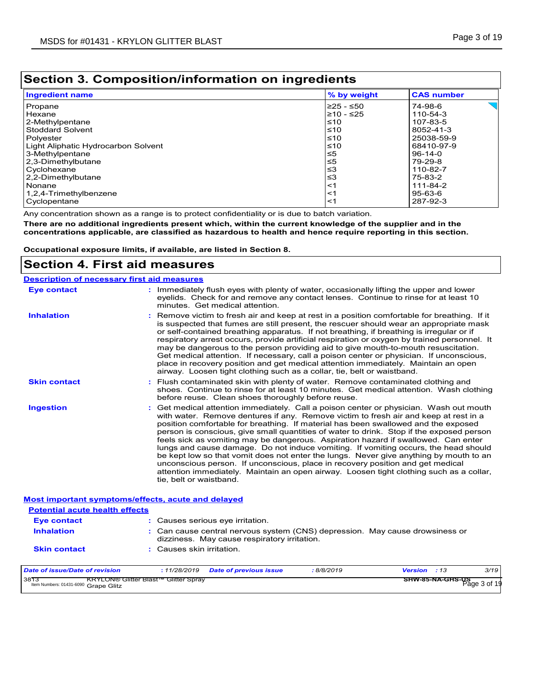# **Section 3. Composition/information on ingredients**

| <b>Ingredient name</b>              | % by weight | <b>CAS number</b>                   |
|-------------------------------------|-------------|-------------------------------------|
| Propane                             | 225 - ≤50   | $\overline{\phantom{a}}$<br>74-98-6 |
| Hexane                              | l≥10 - ≤25  | 110-54-3                            |
| 2-Methylpentane                     | $\leq 10$   | 107-83-5                            |
| <b>Stoddard Solvent</b>             | $≤10$       | 8052-41-3                           |
| Polyester                           | $\leq 10$   | 25038-59-9                          |
| Light Aliphatic Hydrocarbon Solvent | $≤10$       | 68410-97-9                          |
| 3-Methylpentane                     | ≤5          | 96-14-0                             |
| 2,3-Dimethylbutane                  | ≤5          | 79-29-8                             |
| Cyclohexane                         | ≤3          | 110-82-7                            |
| 2,2-Dimethylbutane                  | ≤3          | 75-83-2                             |
| <b>Nonane</b>                       | <1          | 111-84-2                            |
| 1,2,4-Trimethylbenzene              | $<$ 1       | 95-63-6                             |
| Cyclopentane                        | <1          | 287-92-3                            |

Any concentration shown as a range is to protect confidentiality or is due to batch variation.

**There are no additional ingredients present which, within the current knowledge of the supplier and in the concentrations applicable, are classified as hazardous to health and hence require reporting in this section.**

**Occupational exposure limits, if available, are listed in Section 8.**

## **Section 4. First aid measures**

| <b>Description of necessary first aid measures</b>                                          |                                                                                                                                                                                                                                                                                                                                                                                                                                                                                                                                                                                                                                                                                                                                                                                                                                                 |
|---------------------------------------------------------------------------------------------|-------------------------------------------------------------------------------------------------------------------------------------------------------------------------------------------------------------------------------------------------------------------------------------------------------------------------------------------------------------------------------------------------------------------------------------------------------------------------------------------------------------------------------------------------------------------------------------------------------------------------------------------------------------------------------------------------------------------------------------------------------------------------------------------------------------------------------------------------|
| <b>Eye contact</b>                                                                          | : Immediately flush eyes with plenty of water, occasionally lifting the upper and lower<br>eyelids. Check for and remove any contact lenses. Continue to rinse for at least 10<br>minutes. Get medical attention.                                                                                                                                                                                                                                                                                                                                                                                                                                                                                                                                                                                                                               |
| <b>Inhalation</b>                                                                           | Remove victim to fresh air and keep at rest in a position comfortable for breathing. If it<br>is suspected that fumes are still present, the rescuer should wear an appropriate mask<br>or self-contained breathing apparatus. If not breathing, if breathing is irregular or if<br>respiratory arrest occurs, provide artificial respiration or oxygen by trained personnel. It<br>may be dangerous to the person providing aid to give mouth-to-mouth resuscitation.<br>Get medical attention. If necessary, call a poison center or physician. If unconscious,<br>place in recovery position and get medical attention immediately. Maintain an open<br>airway. Loosen tight clothing such as a collar, tie, belt or waistband.                                                                                                              |
| <b>Skin contact</b>                                                                         | : Flush contaminated skin with plenty of water. Remove contaminated clothing and<br>shoes. Continue to rinse for at least 10 minutes. Get medical attention. Wash clothing<br>before reuse. Clean shoes thoroughly before reuse.                                                                                                                                                                                                                                                                                                                                                                                                                                                                                                                                                                                                                |
| <b>Ingestion</b>                                                                            | : Get medical attention immediately. Call a poison center or physician. Wash out mouth<br>with water. Remove dentures if any. Remove victim to fresh air and keep at rest in a<br>position comfortable for breathing. If material has been swallowed and the exposed<br>person is conscious, give small quantities of water to drink. Stop if the exposed person<br>feels sick as vomiting may be dangerous. Aspiration hazard if swallowed. Can enter<br>lungs and cause damage. Do not induce vomiting. If vomiting occurs, the head should<br>be kept low so that vomit does not enter the lungs. Never give anything by mouth to an<br>unconscious person. If unconscious, place in recovery position and get medical<br>attention immediately. Maintain an open airway. Loosen tight clothing such as a collar,<br>tie, belt or waistband. |
| <b>Most important symptoms/effects, acute and delayed</b>                                   |                                                                                                                                                                                                                                                                                                                                                                                                                                                                                                                                                                                                                                                                                                                                                                                                                                                 |
| <b>Potential acute health effects</b>                                                       |                                                                                                                                                                                                                                                                                                                                                                                                                                                                                                                                                                                                                                                                                                                                                                                                                                                 |
| <b>Eye contact</b>                                                                          | : Causes serious eve irritation.                                                                                                                                                                                                                                                                                                                                                                                                                                                                                                                                                                                                                                                                                                                                                                                                                |
| <b>Inhalation</b>                                                                           | : Can cause central nervous system (CNS) depression. May cause drowsiness or<br>dizziness. May cause respiratory irritation.                                                                                                                                                                                                                                                                                                                                                                                                                                                                                                                                                                                                                                                                                                                    |
| <b>Skin contact</b>                                                                         | : Causes skin irritation.                                                                                                                                                                                                                                                                                                                                                                                                                                                                                                                                                                                                                                                                                                                                                                                                                       |
| <b>Date of issue/Date of revision</b>                                                       | 3/19<br>: 11/28/2019<br>Version : 13<br><b>Date of previous issue</b><br>:8/8/2019                                                                                                                                                                                                                                                                                                                                                                                                                                                                                                                                                                                                                                                                                                                                                              |
| 3813<br><b>KRYLON® Glitter Blast™ Glitter Spray</b><br>Item Numbers: 01431-6090 Grape Glitz | SHW-85-NA-GHS-US<br>Page 3 of 19                                                                                                                                                                                                                                                                                                                                                                                                                                                                                                                                                                                                                                                                                                                                                                                                                |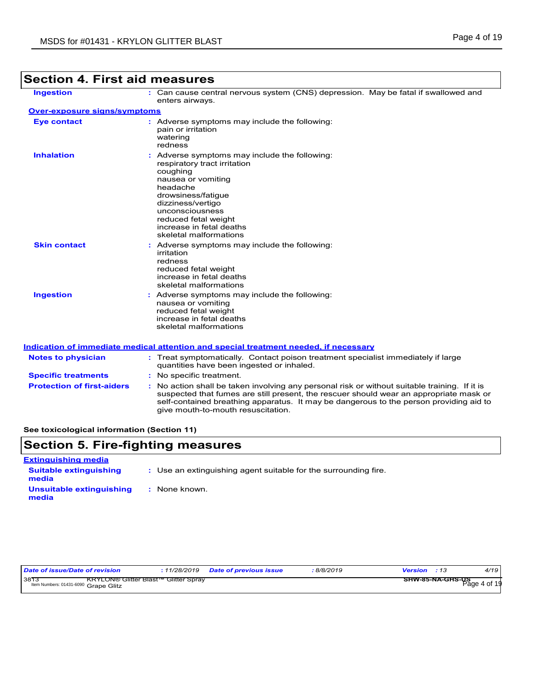| <b>Ingestion</b>                  | : Can cause central nervous system (CNS) depression. May be fatal if swallowed and<br>enters airways.                                                                                                                                                                   |
|-----------------------------------|-------------------------------------------------------------------------------------------------------------------------------------------------------------------------------------------------------------------------------------------------------------------------|
| Over-exposure signs/symptoms      |                                                                                                                                                                                                                                                                         |
| <b>Eye contact</b>                | : Adverse symptoms may include the following:<br>pain or irritation<br>watering<br>redness                                                                                                                                                                              |
| <b>Inhalation</b>                 | : Adverse symptoms may include the following:<br>respiratory tract irritation<br>coughing<br>nausea or vomiting<br>headache<br>drowsiness/fatique<br>dizziness/vertigo<br>unconsciousness<br>reduced fetal weight<br>increase in fetal deaths<br>skeletal malformations |
| <b>Skin contact</b>               | : Adverse symptoms may include the following:<br>irritation<br>redness<br>reduced fetal weight<br>increase in fetal deaths<br>skeletal malformations                                                                                                                    |
| <b>Ingestion</b>                  | : Adverse symptoms may include the following:<br>nausea or vomiting<br>reduced fetal weight<br>increase in fetal deaths<br>skeletal malformations                                                                                                                       |
|                                   | Indication of immediate medical attention and special treatment needed, if necessary                                                                                                                                                                                    |
| <b>Notes to physician</b>         | : Treat symptomatically. Contact poison treatment specialist immediately if large<br>quantities have been ingested or inhaled.                                                                                                                                          |
| <b>Specific treatments</b>        | : No specific treatment.                                                                                                                                                                                                                                                |
| <b>Protection of first-aiders</b> | : No action shall be taken involving any personal risk or without suitable training. If it is                                                                                                                                                                           |

suspected that fumes are still present, the rescuer should wear an appropriate mask or self-contained breathing apparatus. It may be dangerous to the person providing aid to

# **Section 4. First aid measures**

**See toxicological information (Section 11)**

## **Section 5. Fire-fighting measures**

| <b>Extinguishing media</b>             |                                                                 |
|----------------------------------------|-----------------------------------------------------------------|
| <b>Suitable extinguishing</b><br>media | : Use an extinguishing agent suitable for the surrounding fire. |
| Unsuitable extinguishing<br>media      | : None known.                                                   |

give mouth-to-mouth resuscitation.

| Date of issue/Date of revision                                                                          | 11/28/2019 | <b>Date of previous issue</b> | 8/8/2019 | <b>Version</b> : 13 | 4/19                                    |
|---------------------------------------------------------------------------------------------------------|------------|-------------------------------|----------|---------------------|-----------------------------------------|
| 38 <sup>73</sup><br><b>KRYLON® Glitter Blast™ Glitter Sprav</b><br>Item Numbers: 01431-6090 Grape Glitz |            |                               |          |                     | <b>SHW-85-NA-GHS-US</b><br>Page 4 of 19 |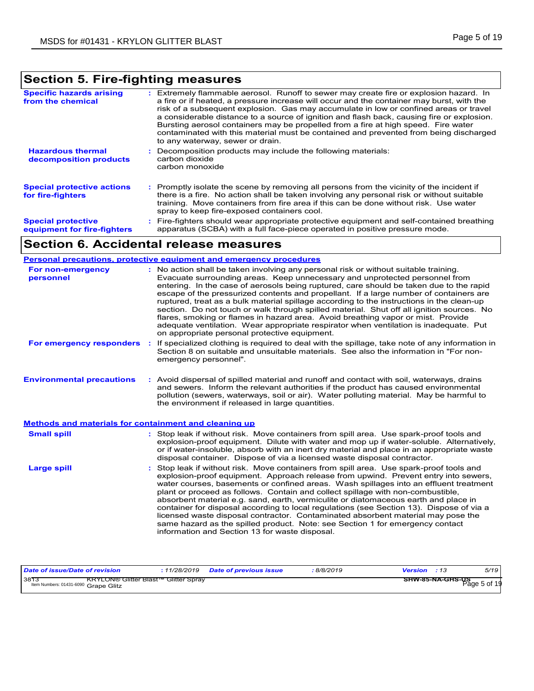# **Section 5. Fire-fighting measures**

| <b>Specific hazards arising</b><br>from the chemical     | : Extremely flammable aerosol. Runoff to sewer may create fire or explosion hazard. In<br>a fire or if heated, a pressure increase will occur and the container may burst, with the<br>risk of a subsequent explosion. Gas may accumulate in low or confined areas or travel<br>a considerable distance to a source of ignition and flash back, causing fire or explosion.<br>Bursting aerosol containers may be propelled from a fire at high speed. Fire water<br>contaminated with this material must be contained and prevented from being discharged<br>to any waterway, sewer or drain. |
|----------------------------------------------------------|-----------------------------------------------------------------------------------------------------------------------------------------------------------------------------------------------------------------------------------------------------------------------------------------------------------------------------------------------------------------------------------------------------------------------------------------------------------------------------------------------------------------------------------------------------------------------------------------------|
| <b>Hazardous thermal</b><br>decomposition products       | Decomposition products may include the following materials:<br>carbon dioxide<br>carbon monoxide                                                                                                                                                                                                                                                                                                                                                                                                                                                                                              |
| <b>Special protective actions</b><br>for fire-fighters   | : Promptly isolate the scene by removing all persons from the vicinity of the incident if<br>there is a fire. No action shall be taken involving any personal risk or without suitable<br>training. Move containers from fire area if this can be done without risk. Use water<br>spray to keep fire-exposed containers cool.                                                                                                                                                                                                                                                                 |
| <b>Special protective</b><br>equipment for fire-fighters | : Fire-fighters should wear appropriate protective equipment and self-contained breathing<br>apparatus (SCBA) with a full face-piece operated in positive pressure mode.                                                                                                                                                                                                                                                                                                                                                                                                                      |

## **Section 6. Accidental release measures**

|                                                              | Personal precautions, protective equipment and emergency procedures                                                                                                                                                                                                                                                                                                                                                                                                                                                                                                                                                                                                                                                                                                              |
|--------------------------------------------------------------|----------------------------------------------------------------------------------------------------------------------------------------------------------------------------------------------------------------------------------------------------------------------------------------------------------------------------------------------------------------------------------------------------------------------------------------------------------------------------------------------------------------------------------------------------------------------------------------------------------------------------------------------------------------------------------------------------------------------------------------------------------------------------------|
| For non-emergency<br>personnel                               | : No action shall be taken involving any personal risk or without suitable training.<br>Evacuate surrounding areas. Keep unnecessary and unprotected personnel from<br>entering. In the case of aerosols being ruptured, care should be taken due to the rapid<br>escape of the pressurized contents and propellant. If a large number of containers are<br>ruptured, treat as a bulk material spillage according to the instructions in the clean-up<br>section. Do not touch or walk through spilled material. Shut off all ignition sources. No<br>flares, smoking or flames in hazard area. Avoid breathing vapor or mist. Provide<br>adequate ventilation. Wear appropriate respirator when ventilation is inadequate. Put<br>on appropriate personal protective equipment. |
| For emergency responders                                     | If specialized clothing is required to deal with the spillage, take note of any information in<br>÷.<br>Section 8 on suitable and unsuitable materials. See also the information in "For non-<br>emergency personnel".                                                                                                                                                                                                                                                                                                                                                                                                                                                                                                                                                           |
| <b>Environmental precautions</b>                             | : Avoid dispersal of spilled material and runoff and contact with soil, waterways, drains<br>and sewers. Inform the relevant authorities if the product has caused environmental<br>pollution (sewers, waterways, soil or air). Water polluting material. May be harmful to<br>the environment if released in large quantities.                                                                                                                                                                                                                                                                                                                                                                                                                                                  |
| <b>Methods and materials for containment and cleaning up</b> |                                                                                                                                                                                                                                                                                                                                                                                                                                                                                                                                                                                                                                                                                                                                                                                  |
| <b>Small spill</b>                                           | : Stop leak if without risk. Move containers from spill area. Use spark-proof tools and<br>explosion-proof equipment. Dilute with water and mop up if water-soluble. Alternatively,<br>or if water-insoluble, absorb with an inert dry material and place in an appropriate waste<br>disposal container. Dispose of via a licensed waste disposal contractor.                                                                                                                                                                                                                                                                                                                                                                                                                    |
| <b>Large spill</b>                                           | : Stop leak if without risk. Move containers from spill area. Use spark-proof tools and<br>explosion-proof equipment. Approach release from upwind. Prevent entry into sewers,<br>water courses, basements or confined areas. Wash spillages into an effluent treatment<br>plant or proceed as follows. Contain and collect spillage with non-combustible,<br>absorbent material e.g. sand, earth, vermiculite or diatomaceous earth and place in<br>container for disposal according to local regulations (see Section 13). Dispose of via a<br>licensed waste disposal contractor. Contaminated absorbent material may pose the<br>same hazard as the spilled product. Note: see Section 1 for emergency contact<br>information and Section 13 for waste disposal.             |

| Date of issue/Date of revision               | : 11/28/2019                                | <b>Date of previous issue</b> | 8/8/2019 | <b>Version</b> : 13 |                  | 5/19         |
|----------------------------------------------|---------------------------------------------|-------------------------------|----------|---------------------|------------------|--------------|
| 3873<br>Item Numbers: 01431-6090 Grape Glitz | <b>KRYLON® Glitter Blast™ Glitter Spray</b> |                               |          |                     | SHW-85-NA-GHS-US | Page 5 of 19 |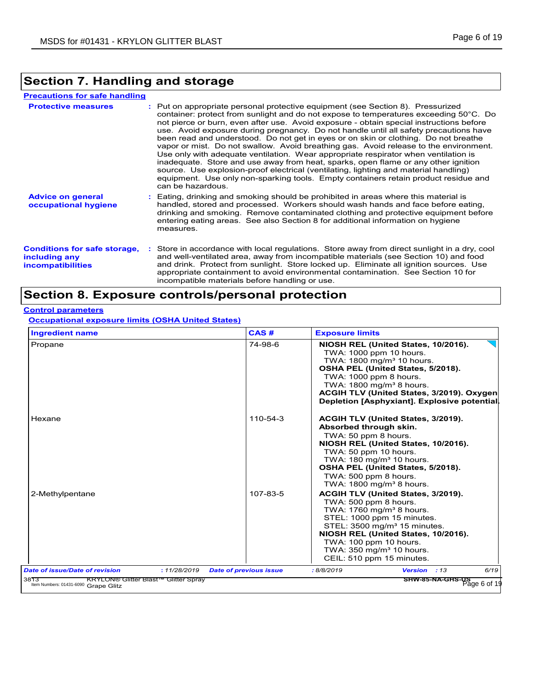# **Section 7. Handling and storage**

| <b>Precautions for safe handling</b>                                             |                                                                                                                                                                                                                                                                                                                                                                                                                                                                                                                                                                                                                                                                                                                                                                                                                                                                                                                               |
|----------------------------------------------------------------------------------|-------------------------------------------------------------------------------------------------------------------------------------------------------------------------------------------------------------------------------------------------------------------------------------------------------------------------------------------------------------------------------------------------------------------------------------------------------------------------------------------------------------------------------------------------------------------------------------------------------------------------------------------------------------------------------------------------------------------------------------------------------------------------------------------------------------------------------------------------------------------------------------------------------------------------------|
| <b>Protective measures</b>                                                       | : Put on appropriate personal protective equipment (see Section 8). Pressurized<br>container: protect from sunlight and do not expose to temperatures exceeding 50°C. Do<br>not pierce or burn, even after use. Avoid exposure - obtain special instructions before<br>use. Avoid exposure during pregnancy. Do not handle until all safety precautions have<br>been read and understood. Do not get in eyes or on skin or clothing. Do not breathe<br>vapor or mist. Do not swallow. Avoid breathing gas. Avoid release to the environment.<br>Use only with adequate ventilation. Wear appropriate respirator when ventilation is<br>inadequate. Store and use away from heat, sparks, open flame or any other ignition<br>source. Use explosion-proof electrical (ventilating, lighting and material handling)<br>equipment. Use only non-sparking tools. Empty containers retain product residue and<br>can be hazardous. |
| <b>Advice on general</b><br>occupational hygiene                                 | : Eating, drinking and smoking should be prohibited in areas where this material is<br>handled, stored and processed. Workers should wash hands and face before eating,<br>drinking and smoking. Remove contaminated clothing and protective equipment before<br>entering eating areas. See also Section 8 for additional information on hygiene<br>measures.                                                                                                                                                                                                                                                                                                                                                                                                                                                                                                                                                                 |
| <b>Conditions for safe storage,</b><br>including any<br><b>incompatibilities</b> | : Store in accordance with local regulations. Store away from direct sunlight in a dry, cool<br>and well-ventilated area, away from incompatible materials (see Section 10) and food<br>and drink. Protect from sunlight. Store locked up. Eliminate all ignition sources. Use<br>appropriate containment to avoid environmental contamination. See Section 10 for<br>incompatible materials before handling or use.                                                                                                                                                                                                                                                                                                                                                                                                                                                                                                          |

## **Section 8. Exposure controls/personal protection**

### **Control parameters**

**Occupational exposure limits (OSHA United States)**

| <b>Ingredient name</b>                | CAS#                                          | <b>Exposure limits</b>                                                                                                                                                                                                                                                                                             |
|---------------------------------------|-----------------------------------------------|--------------------------------------------------------------------------------------------------------------------------------------------------------------------------------------------------------------------------------------------------------------------------------------------------------------------|
| Propane                               | 74-98-6                                       | NIOSH REL (United States, 10/2016).<br>TWA: 1000 ppm 10 hours.<br>TWA: 1800 mg/m <sup>3</sup> 10 hours.<br>OSHA PEL (United States, 5/2018).<br>TWA: 1000 ppm 8 hours.<br>TWA: $1800 \text{ mg/m}^3$ 8 hours.<br>ACGIH TLV (United States, 3/2019). Oxygen<br>Depletion [Asphyxiant]. Explosive potential.         |
| Hexane                                | 110-54-3                                      | ACGIH TLV (United States, 3/2019).<br>Absorbed through skin.<br>TWA: 50 ppm 8 hours.<br>NIOSH REL (United States, 10/2016).<br>TWA: 50 ppm 10 hours.<br>TWA: 180 mg/m <sup>3</sup> 10 hours.<br>OSHA PEL (United States, 5/2018).<br>TWA: 500 ppm 8 hours.<br>TWA: $1800 \text{ mg/m}^3$ 8 hours.                  |
| 2-Methylpentane                       | 107-83-5                                      | ACGIH TLV (United States, 3/2019).<br>TWA: 500 ppm 8 hours.<br>TWA: 1760 mg/m <sup>3</sup> 8 hours.<br>STEL: 1000 ppm 15 minutes.<br>STEL: 3500 mg/m <sup>3</sup> 15 minutes.<br>NIOSH REL (United States, 10/2016).<br>TWA: 100 ppm 10 hours<br>TWA: 350 mg/m <sup>3</sup> 10 hours.<br>CEIL: 510 ppm 15 minutes. |
| <b>Date of issue/Date of revision</b> | : 11/28/2019<br><b>Date of previous issue</b> | 6/19<br>: 8/8/2019<br>Version : 13                                                                                                                                                                                                                                                                                 |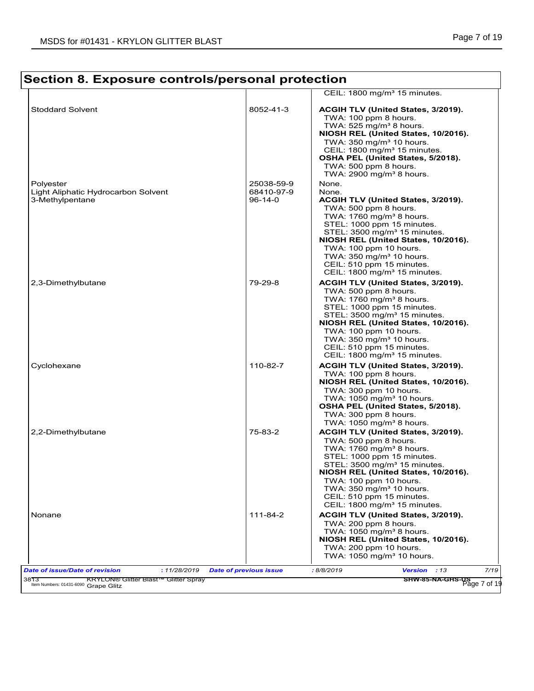#### **Section 8. Exposure controls/personal protection** CEIL: 1800 mg/m<sup>3</sup> 15 minutes. Stoddard Solvent **Acceleration Control Control Control Control Control Control Control Control Control Control Control Control Control Control Control Control Control Control Control Control Control Control Control Control**  TWA: 100 ppm 8 hours. TWA:  $525$  mg/m<sup>3</sup> 8 hours. **NIOSH REL (United States, 10/2016).** TWA:  $350$  mg/m $3$  10 hours. CEIL: 1800 mg/m<sup>3</sup> 15 minutes. **OSHA PEL (United States, 5/2018).** TWA: 500 ppm 8 hours. TWA:  $2900$  mg/m<sup>3</sup> 8 hours. Polyester 25038-59-9 None. Light Aliphatic Hydrocarbon Solvent 68410-97-9 None.<br>3-Methylpentane 96-14-0 ACGI ACGIH TLV (United States, 3/2019). TWA: 500 ppm 8 hours. TWA:  $1760$  mg/m $3$  8 hours. STEL: 1000 ppm 15 minutes. STEL: 3500 mg/m<sup>3</sup> 15 minutes. **NIOSH REL (United States, 10/2016).** TWA: 100 ppm 10 hours. TWA:  $350$  mg/m $3$  10 hours. CEIL: 510 ppm 15 minutes. CEIL: 1800 mg/m<sup>3</sup> 15 minutes. 2,3-Dimethylbutane 79-29-8 **ACGIH TLV (United States, 3/2019).** TWA: 500 ppm 8 hours. TWA:  $1760$  mg/m<sup>3</sup> 8 hours. STEL: 1000 ppm 15 minutes.  $STEL: 3500 mg/m<sup>3</sup> 15 minutes$ **NIOSH REL (United States, 10/2016).** TWA: 100 ppm 10 hours. TWA:  $350$  mg/m $310$  hours. CEIL: 510 ppm 15 minutes. CEIL: 1800 mg/m<sup>3</sup> 15 minutes. Cyclohexane 110-82-7 **ACGIH TLV (United States, 3/2019).** TWA: 100 ppm 8 hours. **NIOSH REL (United States, 10/2016).** TWA: 300 ppm 10 hours. TWA:  $1050$  mg/m $3$  10 hours. **OSHA PEL (United States, 5/2018).** TWA: 300 ppm 8 hours. TWA:  $1050$  mg/m<sup>3</sup> 8 hours. 2,2-Dimethylbutane 75-83-2 **ACGIH TLV (United States, 3/2019).** TWA: 500 ppm 8 hours. TWA:  $1760$  mg/m<sup>3</sup> 8 hours. STEL: 1000 ppm 15 minutes. STEL: 3500 mg/m<sup>3</sup> 15 minutes. **NIOSH REL (United States, 10/2016).** TWA: 100 ppm 10 hours. TWA:  $350 \text{ mg/m}^3$  10 hours. CEIL: 510 ppm 15 minutes. CEIL: 1800 mg/m<sup>3</sup> 15 minutes. Nonane 111-84-2 **ACGIH TLV (United States, 3/2019).** TWA: 200 ppm 8 hours. TWA:  $1050$  mg/m<sup>3</sup> 8 hours. **NIOSH REL (United States, 10/2016).** TWA: 200 ppm 10 hours. TWA:  $1050$  mg/m $3$  10 hours. *Date of issue/Date of revision* **:** *11/28/2019 Date of previous issue : 8/8/2019 Version : 13 7/19* **KRYLON® Glitter Blast™ Glitter Spray** 3813 KRYLON<sup>®</sup><br>Item Numbers: 01431-6090 Grape Glitz ابيس المسلمة المسلمة المسلمة المسلمة المسلمة المسلمة المسلمة المسلمة المسلمة المسلمة المسلمة المسلمة المسلمة ال<br>Item Numbers: 01431-6090 Grape Glitz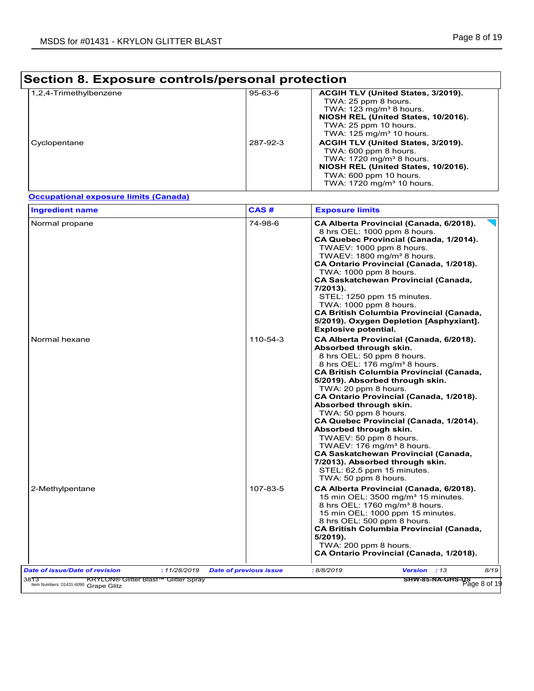# **Section 8. Exposure controls/personal protection**

| 1,2,4-Trimethylbenzene | $95 - 63 - 6$ | ACGIH TLV (United States, 3/2019).    |
|------------------------|---------------|---------------------------------------|
|                        |               | TWA: 25 ppm 8 hours.                  |
|                        |               | TWA: $123 \text{ mg/m}^3$ 8 hours.    |
|                        |               | NIOSH REL (United States, 10/2016).   |
|                        |               | TWA: 25 ppm 10 hours.                 |
|                        |               | TWA: 125 mg/m <sup>3</sup> 10 hours.  |
| Cyclopentane           | 287-92-3      | ACGIH TLV (United States, 3/2019).    |
|                        |               | TWA: 600 ppm 8 hours                  |
|                        |               | TWA: $1720 \text{ mg/m}^3$ 8 hours.   |
|                        |               | NIOSH REL (United States, 10/2016).   |
|                        |               | TWA: $600$ ppm 10 hours.              |
|                        |               | TWA: 1720 mg/m <sup>3</sup> 10 hours. |

### **Occupational exposure limits (Canada)**

| <b>Ingredient name</b>                | CAS#<br><b>Exposure limits</b>                                                                                                                                                                                                                                                                                                                                                                                                                                                                                                                                                                                                                   |                                                       |
|---------------------------------------|--------------------------------------------------------------------------------------------------------------------------------------------------------------------------------------------------------------------------------------------------------------------------------------------------------------------------------------------------------------------------------------------------------------------------------------------------------------------------------------------------------------------------------------------------------------------------------------------------------------------------------------------------|-------------------------------------------------------|
| Normal propane                        | 74-98-6<br>CA Alberta Provincial (Canada, 6/2018).<br>8 hrs OEL: 1000 ppm 8 hours.<br>CA Quebec Provincial (Canada, 1/2014).<br>TWAEV: 1000 ppm 8 hours.<br>TWAEV: 1800 mg/m <sup>3</sup> 8 hours.<br>CA Ontario Provincial (Canada, 1/2018).<br>TWA: 1000 ppm 8 hours.<br><b>CA Saskatchewan Provincial (Canada,</b><br>7/2013).<br>STEL: 1250 ppm 15 minutes.<br>TWA: 1000 ppm 8 hours.<br><b>CA British Columbia Provincial (Canada,</b><br>5/2019). Oxygen Depletion [Asphyxiant].<br><b>Explosive potential.</b>                                                                                                                            |                                                       |
| Normal hexane                         | 110-54-3<br>CA Alberta Provincial (Canada, 6/2018).<br>Absorbed through skin.<br>8 hrs OEL: 50 ppm 8 hours.<br>8 hrs OEL: 176 mg/m <sup>3</sup> 8 hours.<br><b>CA British Columbia Provincial (Canada,</b><br>5/2019). Absorbed through skin.<br>TWA: 20 ppm 8 hours.<br>CA Ontario Provincial (Canada, 1/2018).<br>Absorbed through skin.<br>TWA: 50 ppm 8 hours.<br>CA Quebec Provincial (Canada, 1/2014).<br>Absorbed through skin.<br>TWAEV: 50 ppm 8 hours.<br>TWAEV: 176 mg/m <sup>3</sup> 8 hours.<br><b>CA Saskatchewan Provincial (Canada,</b><br>7/2013). Absorbed through skin.<br>STEL: 62.5 ppm 15 minutes.<br>TWA: 50 ppm 8 hours. |                                                       |
| 2-Methylpentane                       | 107-83-5<br>CA Alberta Provincial (Canada, 6/2018).<br>15 min OEL: 3500 mg/m <sup>3</sup> 15 minutes.<br>8 hrs OEL: 1760 mg/m <sup>3</sup> 8 hours.<br>15 min OEL: 1000 ppm 15 minutes.<br>8 hrs OEL: 500 ppm 8 hours.<br><b>CA British Columbia Provincial (Canada,</b><br>5/2019).<br>TWA: 200 ppm 8 hours.<br>CA Ontario Provincial (Canada, 1/2018).                                                                                                                                                                                                                                                                                         |                                                       |
| <b>Date of issue/Date of revision</b> | : 8/8/2019<br>Version : 13<br>: 11/28/2019<br><b>Date of previous issue</b>                                                                                                                                                                                                                                                                                                                                                                                                                                                                                                                                                                      | 8/19<br>SHW-85-NA-GHS-US <sup>-</sup><br>Page 8 of 19 |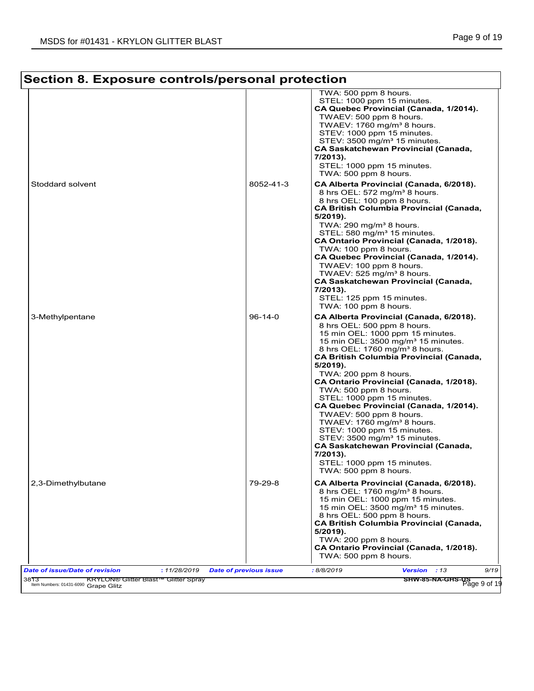٦

| Section 8. Exposure controls/personal protection |                                                                                                                                                                                                                                                                                                                                                                                                                                                                                                                                                                                                                                                                                                               |  |  |
|--------------------------------------------------|---------------------------------------------------------------------------------------------------------------------------------------------------------------------------------------------------------------------------------------------------------------------------------------------------------------------------------------------------------------------------------------------------------------------------------------------------------------------------------------------------------------------------------------------------------------------------------------------------------------------------------------------------------------------------------------------------------------|--|--|
|                                                  | TWA: 500 ppm 8 hours.<br>STEL: 1000 ppm 15 minutes.<br>CA Quebec Provincial (Canada, 1/2014).<br>TWAEV: 500 ppm 8 hours.<br>TWAEV: 1760 mg/m <sup>3</sup> 8 hours.<br>STEV: 1000 ppm 15 minutes.<br>STEV: 3500 mg/m <sup>3</sup> 15 minutes.<br>CA Saskatchewan Provincial (Canada,<br>7/2013).<br>STEL: 1000 ppm 15 minutes.<br>TWA: 500 ppm 8 hours.                                                                                                                                                                                                                                                                                                                                                        |  |  |
| 8052-41-3                                        | CA Alberta Provincial (Canada, 6/2018).<br>8 hrs OEL: 572 mg/m <sup>3</sup> 8 hours.<br>8 hrs OEL: 100 ppm 8 hours.<br><b>CA British Columbia Provincial (Canada,</b><br>5/2019).<br>TWA: $290 \text{ mg/m}^3$ 8 hours.<br>STEL: 580 mg/m <sup>3</sup> 15 minutes.<br>CA Ontario Provincial (Canada, 1/2018).<br>TWA: 100 ppm 8 hours.<br>CA Quebec Provincial (Canada, 1/2014).<br>TWAEV: 100 ppm 8 hours.<br>TWAEV: 525 mg/m <sup>3</sup> 8 hours.<br><b>CA Saskatchewan Provincial (Canada,</b><br>$7/2013$ ).<br>STEL: 125 ppm 15 minutes.<br>TWA: 100 ppm 8 hours.                                                                                                                                       |  |  |
| $96-14-0$                                        | CA Alberta Provincial (Canada, 6/2018).<br>8 hrs OEL: 500 ppm 8 hours.<br>15 min OEL: 1000 ppm 15 minutes.<br>15 min OEL: 3500 mg/m <sup>3</sup> 15 minutes.<br>8 hrs OEL: 1760 mg/m <sup>3</sup> 8 hours.<br><b>CA British Columbia Provincial (Canada,</b><br>5/2019).<br>TWA: 200 ppm 8 hours.<br>CA Ontario Provincial (Canada, 1/2018).<br>TWA: 500 ppm 8 hours.<br>STEL: 1000 ppm 15 minutes.<br>CA Quebec Provincial (Canada, 1/2014).<br>TWAEV: 500 ppm 8 hours.<br>TWAEV: 1760 mg/m <sup>3</sup> 8 hours.<br>STEV: 1000 ppm 15 minutes.<br>STEV: 3500 mg/m <sup>3</sup> 15 minutes.<br><b>CA Saskatchewan Provincial (Canada,</b><br>7/2013).<br>STEL: 1000 ppm 15 minutes.<br>TWA: 500 ppm 8 hours. |  |  |
| 79-29-8                                          | CA Alberta Provincial (Canada, 6/2018).<br>8 hrs OEL: 1760 mg/m <sup>3</sup> 8 hours.<br>15 min OEL: 1000 ppm 15 minutes.<br>15 min OEL: 3500 mg/m <sup>3</sup> 15 minutes.<br>8 hrs OEL: 500 ppm 8 hours.<br><b>CA British Columbia Provincial (Canada,</b><br>5/2019).<br>TWA: 200 ppm 8 hours.<br>CA Ontario Provincial (Canada, 1/2018).<br>TWA: 500 ppm 8 hours.                                                                                                                                                                                                                                                                                                                                         |  |  |
|                                                  |                                                                                                                                                                                                                                                                                                                                                                                                                                                                                                                                                                                                                                                                                                               |  |  |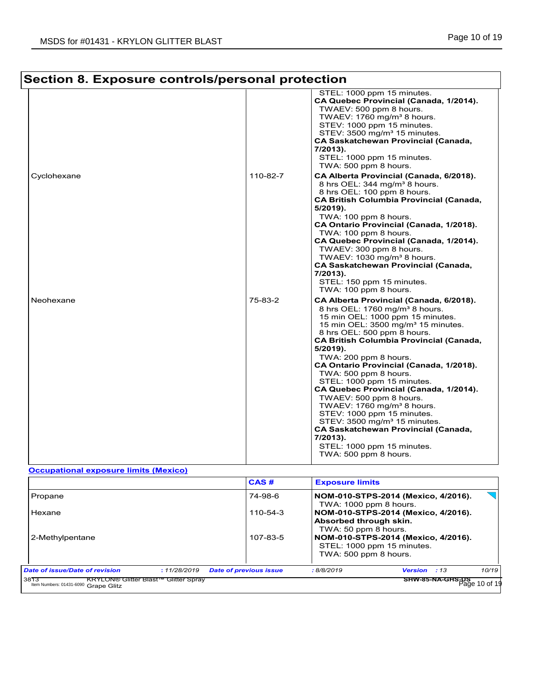| Section 8. Exposure controls/personal protection |                                                                                                                                                                                                                                                                                                           | STEL: 1000 ppm 15 minutes.                                                                                                                                                                                                                                                                                                                                                                                                                                                                                                                                                                                                                                                                                       |  |  |  |
|--------------------------------------------------|-----------------------------------------------------------------------------------------------------------------------------------------------------------------------------------------------------------------------------------------------------------------------------------------------------------|------------------------------------------------------------------------------------------------------------------------------------------------------------------------------------------------------------------------------------------------------------------------------------------------------------------------------------------------------------------------------------------------------------------------------------------------------------------------------------------------------------------------------------------------------------------------------------------------------------------------------------------------------------------------------------------------------------------|--|--|--|
|                                                  | CA Quebec Provincial (Canada, 1/2014).<br>TWAEV: 500 ppm 8 hours.<br>TWAEV: 1760 mg/m <sup>3</sup> 8 hours.<br>STEV: 1000 ppm 15 minutes.<br>STEV: 3500 mg/m <sup>3</sup> 15 minutes.<br><b>CA Saskatchewan Provincial (Canada,</b><br>$7/2013$ ).<br>STEL: 1000 ppm 15 minutes.<br>TWA: 500 ppm 8 hours. |                                                                                                                                                                                                                                                                                                                                                                                                                                                                                                                                                                                                                                                                                                                  |  |  |  |
| Cyclohexane                                      | 110-82-7                                                                                                                                                                                                                                                                                                  | CA Alberta Provincial (Canada, 6/2018).<br>8 hrs OEL: 344 mg/m <sup>3</sup> 8 hours.<br>8 hrs OEL: 100 ppm 8 hours.<br><b>CA British Columbia Provincial (Canada,</b><br>5/2019).<br>TWA: 100 ppm 8 hours.<br>CA Ontario Provincial (Canada, 1/2018).<br>TWA: 100 ppm 8 hours.<br>CA Quebec Provincial (Canada, 1/2014).<br>TWAEV: 300 ppm 8 hours.<br>TWAEV: 1030 mg/m <sup>3</sup> 8 hours.<br><b>CA Saskatchewan Provincial (Canada,</b><br>$7/2013$ ).<br>STEL: 150 ppm 15 minutes.<br>TWA: 100 ppm 8 hours.                                                                                                                                                                                                 |  |  |  |
| Neohexane                                        | 75-83-2                                                                                                                                                                                                                                                                                                   | CA Alberta Provincial (Canada, 6/2018).<br>8 hrs OEL: 1760 mg/m <sup>3</sup> 8 hours.<br>15 min OEL: 1000 ppm 15 minutes.<br>15 min OEL: 3500 mg/m <sup>3</sup> 15 minutes.<br>8 hrs OEL: 500 ppm 8 hours.<br><b>CA British Columbia Provincial (Canada,</b><br>$5/2019$ ).<br>TWA: 200 ppm 8 hours.<br>CA Ontario Provincial (Canada, 1/2018).<br>TWA: 500 ppm 8 hours.<br>STEL: 1000 ppm 15 minutes.<br>CA Quebec Provincial (Canada, 1/2014).<br>TWAEV: 500 ppm 8 hours.<br>TWAEV: 1760 mg/m <sup>3</sup> 8 hours.<br>STEV: 1000 ppm 15 minutes.<br>STEV: 3500 mg/m <sup>3</sup> 15 minutes.<br><b>CA Saskatchewan Provincial (Canada,</b><br>7/2013).<br>STEL: 1000 ppm 15 minutes.<br>TWA: 500 ppm 8 hours. |  |  |  |
| <b>Occupational exposure limits (Mexico)</b>     |                                                                                                                                                                                                                                                                                                           |                                                                                                                                                                                                                                                                                                                                                                                                                                                                                                                                                                                                                                                                                                                  |  |  |  |
|                                                  | CAS#                                                                                                                                                                                                                                                                                                      | <b>Exposure limits</b>                                                                                                                                                                                                                                                                                                                                                                                                                                                                                                                                                                                                                                                                                           |  |  |  |
| Propane<br>Hexane<br>2-Methylpentane             | 74-98-6<br>110-54-3<br>107-83-5                                                                                                                                                                                                                                                                           | NOM-010-STPS-2014 (Mexico, 4/2016).<br>TWA: 1000 ppm 8 hours.<br>NOM-010-STPS-2014 (Mexico, 4/2016).<br>Absorbed through skin.<br>TWA: 50 ppm 8 hours.<br>NOM-010-STPS-2014 (Mexico, 4/2016).<br>STEL: 1000 ppm 15 minutes.                                                                                                                                                                                                                                                                                                                                                                                                                                                                                      |  |  |  |
|                                                  |                                                                                                                                                                                                                                                                                                           |                                                                                                                                                                                                                                                                                                                                                                                                                                                                                                                                                                                                                                                                                                                  |  |  |  |

3813 KRYLON® Glitter Blast™ Glitter Spray Grape Glitz Item Numbers: 01431-6090 Page 10 of 19

**SHW-85-NA-GHS-US**<br> **SHW-85-NA-GHS-DS**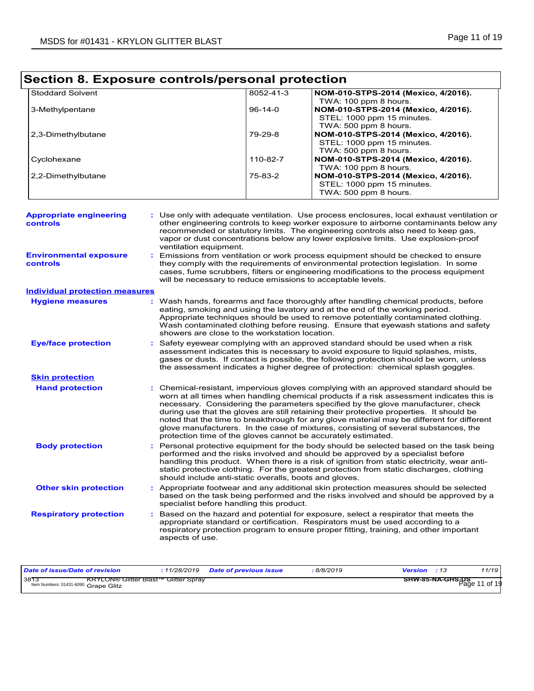| Section 8. Exposure controls/personal protection |                        |                                                                                                                                                                                                                                                                                                                                                                                                                                |                                                                                                                                                                                                                                                                                                                                                                                                                                                                                                                                                                                                                        |  |  |  |  |
|--------------------------------------------------|------------------------|--------------------------------------------------------------------------------------------------------------------------------------------------------------------------------------------------------------------------------------------------------------------------------------------------------------------------------------------------------------------------------------------------------------------------------|------------------------------------------------------------------------------------------------------------------------------------------------------------------------------------------------------------------------------------------------------------------------------------------------------------------------------------------------------------------------------------------------------------------------------------------------------------------------------------------------------------------------------------------------------------------------------------------------------------------------|--|--|--|--|
| <b>Stoddard Solvent</b>                          |                        | 8052-41-3                                                                                                                                                                                                                                                                                                                                                                                                                      | NOM-010-STPS-2014 (Mexico, 4/2016).                                                                                                                                                                                                                                                                                                                                                                                                                                                                                                                                                                                    |  |  |  |  |
| 3-Methylpentane                                  |                        | $96-14-0$                                                                                                                                                                                                                                                                                                                                                                                                                      | TWA: 100 ppm 8 hours.<br>NOM-010-STPS-2014 (Mexico, 4/2016).<br>STEL: 1000 ppm 15 minutes.<br>TWA: 500 ppm 8 hours.                                                                                                                                                                                                                                                                                                                                                                                                                                                                                                    |  |  |  |  |
| 2,3-Dimethylbutane                               |                        | 79-29-8                                                                                                                                                                                                                                                                                                                                                                                                                        | NOM-010-STPS-2014 (Mexico, 4/2016).<br>STEL: 1000 ppm 15 minutes.<br>TWA: 500 ppm 8 hours.                                                                                                                                                                                                                                                                                                                                                                                                                                                                                                                             |  |  |  |  |
| Cyclohexane                                      |                        | 110-82-7                                                                                                                                                                                                                                                                                                                                                                                                                       | NOM-010-STPS-2014 (Mexico, 4/2016).<br>TWA: 100 ppm 8 hours.                                                                                                                                                                                                                                                                                                                                                                                                                                                                                                                                                           |  |  |  |  |
| 2,2-Dimethylbutane                               |                        | 75-83-2                                                                                                                                                                                                                                                                                                                                                                                                                        | NOM-010-STPS-2014 (Mexico, 4/2016).<br>STEL: 1000 ppm 15 minutes.<br>TWA: 500 ppm 8 hours.                                                                                                                                                                                                                                                                                                                                                                                                                                                                                                                             |  |  |  |  |
| <b>Appropriate engineering</b><br>controls       | ventilation equipment. |                                                                                                                                                                                                                                                                                                                                                                                                                                | : Use only with adequate ventilation. Use process enclosures, local exhaust ventilation or<br>other engineering controls to keep worker exposure to airborne contaminants below any<br>recommended or statutory limits. The engineering controls also need to keep gas,<br>vapor or dust concentrations below any lower explosive limits. Use explosion-proof                                                                                                                                                                                                                                                          |  |  |  |  |
| <b>Environmental exposure</b><br>controls        |                        | Emissions from ventilation or work process equipment should be checked to ensure<br>they comply with the requirements of environmental protection legislation. In some<br>cases, fume scrubbers, filters or engineering modifications to the process equipment<br>will be necessary to reduce emissions to acceptable levels.                                                                                                  |                                                                                                                                                                                                                                                                                                                                                                                                                                                                                                                                                                                                                        |  |  |  |  |
| <b>Individual protection measures</b>            |                        |                                                                                                                                                                                                                                                                                                                                                                                                                                |                                                                                                                                                                                                                                                                                                                                                                                                                                                                                                                                                                                                                        |  |  |  |  |
| <b>Hygiene measures</b>                          |                        | showers are close to the workstation location.                                                                                                                                                                                                                                                                                                                                                                                 | : Wash hands, forearms and face thoroughly after handling chemical products, before<br>eating, smoking and using the lavatory and at the end of the working period.<br>Appropriate techniques should be used to remove potentially contaminated clothing.<br>Wash contaminated clothing before reusing. Ensure that eyewash stations and safety                                                                                                                                                                                                                                                                        |  |  |  |  |
| <b>Eye/face protection</b>                       |                        |                                                                                                                                                                                                                                                                                                                                                                                                                                | : Safety eyewear complying with an approved standard should be used when a risk<br>assessment indicates this is necessary to avoid exposure to liquid splashes, mists,<br>gases or dusts. If contact is possible, the following protection should be worn, unless<br>the assessment indicates a higher degree of protection: chemical splash goggles.                                                                                                                                                                                                                                                                  |  |  |  |  |
| <b>Skin protection</b>                           |                        |                                                                                                                                                                                                                                                                                                                                                                                                                                |                                                                                                                                                                                                                                                                                                                                                                                                                                                                                                                                                                                                                        |  |  |  |  |
| <b>Hand protection</b>                           |                        |                                                                                                                                                                                                                                                                                                                                                                                                                                | : Chemical-resistant, impervious gloves complying with an approved standard should be<br>worn at all times when handling chemical products if a risk assessment indicates this is<br>necessary. Considering the parameters specified by the glove manufacturer, check<br>during use that the gloves are still retaining their protective properties. It should be<br>noted that the time to breakthrough for any glove material may be different for different<br>glove manufacturers. In the case of mixtures, consisting of several substances, the<br>protection time of the gloves cannot be accurately estimated. |  |  |  |  |
| <b>Body protection</b>                           |                        | : Personal protective equipment for the body should be selected based on the task being<br>performed and the risks involved and should be approved by a specialist before<br>handling this product. When there is a risk of ignition from static electricity, wear anti-<br>static protective clothing. For the greatest protection from static discharges, clothing<br>should include anti-static overalls, boots and gloves. |                                                                                                                                                                                                                                                                                                                                                                                                                                                                                                                                                                                                                        |  |  |  |  |
| <b>Other skin protection</b>                     |                        | specialist before handling this product.                                                                                                                                                                                                                                                                                                                                                                                       | : Appropriate footwear and any additional skin protection measures should be selected<br>based on the task being performed and the risks involved and should be approved by a                                                                                                                                                                                                                                                                                                                                                                                                                                          |  |  |  |  |
| <b>Respiratory protection</b>                    | aspects of use.        |                                                                                                                                                                                                                                                                                                                                                                                                                                | : Based on the hazard and potential for exposure, select a respirator that meets the<br>appropriate standard or certification. Respirators must be used according to a<br>respiratory protection program to ensure proper fitting, training, and other important                                                                                                                                                                                                                                                                                                                                                       |  |  |  |  |

| Date of issue/Date of revision                                                | <i>11/28/2019</i>    | <b>Date of previous issue</b> | 8/8/2019 | Version | 11/19                                |
|-------------------------------------------------------------------------------|----------------------|-------------------------------|----------|---------|--------------------------------------|
| 3873<br><b>KRYLON® Glitter Blast™</b><br>Item Numbers: 01431-6090 Grape Glitz | <b>Glitter Spray</b> |                               |          |         | SHW-85-NA-GHS-US<br>11 of 19<br>Page |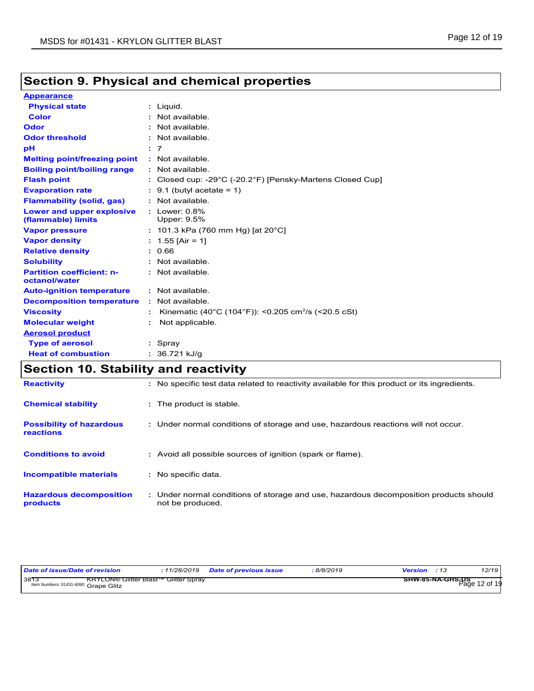#### **Physical state Melting point/freezing point : Not available. Vapor pressure Relative density Vapor density** Liquid. **:** 0.66 1.55 [Air = 1] **:** 101.3 kPa (760 mm Hg) [at 20°C] **: Odor** : Not available. **pH Color Color :** Not available. **Evaporation rate** : 9.1 (butyl acetate = 1) **Flash point** Closed cup: -29°C (-20.2°F) [Pensky-Martens Closed Cup] **:** 7 **: Odor threshold** : Not available. **: Appearance Boiling point/boiling range :** Not available. **Flammability (solid, gas) :** Not available. **Lower and upper explosive :** Lower: 0.8% **(flammable) limits** Upper: 9.5%

| <b>Relative density</b>                           | : 0.66                                                          |
|---------------------------------------------------|-----------------------------------------------------------------|
| <b>Solubility</b>                                 | $:$ Not available.                                              |
| <b>Partition coefficient: n-</b><br>octanol/water | : Not available.                                                |
| <b>Auto-ignition temperature</b>                  | : Not available.                                                |
| <b>Decomposition temperature</b>                  | : Not available.                                                |
| <b>Viscosity</b>                                  | Kinematic (40°C (104°F)): <0.205 cm <sup>2</sup> /s (<20.5 cSt) |
| <b>Molecular weight</b>                           | Not applicable.                                                 |
| <b>Aerosol product</b>                            |                                                                 |
| <b>Type of aerosol</b>                            | $:$ Spray                                                       |
| <b>Heat of combustion</b>                         | : 36.721 kJ/q                                                   |

## **Section 10. Stability and reactivity**

| <b>Reactivity</b>                            | No specific test data related to reactivity available for this product or its ingredients.                |
|----------------------------------------------|-----------------------------------------------------------------------------------------------------------|
| <b>Chemical stability</b>                    | : The product is stable.                                                                                  |
| <b>Possibility of hazardous</b><br>reactions | : Under normal conditions of storage and use, hazardous reactions will not occur.                         |
| <b>Conditions to avoid</b>                   | : Avoid all possible sources of ignition (spark or flame).                                                |
| Incompatible materials                       | : No specific data.                                                                                       |
| <b>Hazardous decomposition</b><br>products   | : Under normal conditions of storage and use, hazardous decomposition products should<br>not be produced. |

| Date of issue/Date of revision                                                              | 11/28/2019 | <b>Date of previous issue</b> | 8/8/2019 | Version                                | - 13 | 12/19 |
|---------------------------------------------------------------------------------------------|------------|-------------------------------|----------|----------------------------------------|------|-------|
| 3813<br><b>KRYLON® Glitter Blast™ Glitter Spray</b><br>Item Numbers: 01431-6090 Grape Glitz |            |                               |          | ———— SHW-85-NA-GHS-US<br>Page 12 of 19 |      |       |

## **Section 9. Physical and chemical properties**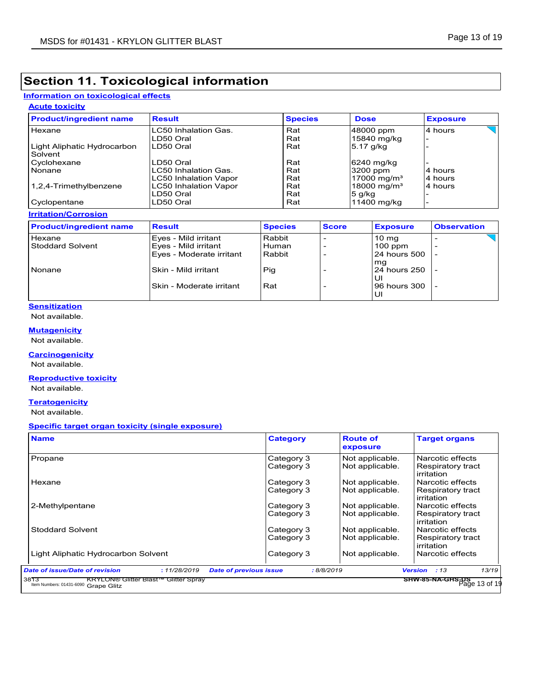### **Information on toxicological effects**

### **Acute toxicity**

| <b>Product/ingredient name</b>         | <b>Result</b>                | <b>Species</b> | <b>Dose</b>             | <b>Exposure</b> |
|----------------------------------------|------------------------------|----------------|-------------------------|-----------------|
| Hexane                                 | LC50 Inhalation Gas.         | Rat            | 48000 ppm               | 4 hours         |
|                                        | LD50 Oral                    | Rat            | 15840 mg/kg             |                 |
| Light Aliphatic Hydrocarbon<br>Solvent | LD50 Oral                    | Rat            | 5.17 g/kg               |                 |
| Cyclohexane                            | LD50 Oral                    | Rat            | 6240 mg/kg              |                 |
| Nonane                                 | LC50 Inhalation Gas.         | Rat            | 3200 ppm                | 4 hours         |
|                                        | <b>LC50 Inhalation Vapor</b> | Rat            | 17000 mg/m <sup>3</sup> | 4 hours         |
| 1,2,4-Trimethylbenzene                 | <b>LC50 Inhalation Vapor</b> | Rat            | 18000 mg/m <sup>3</sup> | 4 hours         |
|                                        | LD50 Oral                    | Rat            | $5$ g/kg                |                 |
| Cyclopentane                           | LD50 Oral                    | Rat            | 11400 mg/kg             |                 |

#### **Irritation/Corrosion**

| <b>Product/ingredient name</b>    | <b>Result</b>                                                            | <b>Species</b>            | <b>Score</b> | <b>Exposure</b>                              | <b>Observation</b> |
|-----------------------------------|--------------------------------------------------------------------------|---------------------------|--------------|----------------------------------------------|--------------------|
| Hexane<br><b>Stoddard Solvent</b> | Eyes - Mild irritant<br>Eyes - Mild irritant<br>Eyes - Moderate irritant | Rabbit<br>Human<br>Rabbit |              | $10 \text{ ma}$<br>$100$ ppm<br>24 hours 500 | ۰                  |
| Nonane                            | Skin - Mild irritant                                                     | Pig                       |              | mg<br>24 hours 250                           |                    |
|                                   | Skin - Moderate irritant                                                 | Rat                       |              | IJI<br>196 hours 300<br>IJI                  |                    |

#### **Sensitization**

Not available.

### **Mutagenicity**

Not available.

#### **Carcinogenicity**

Not available.

#### **Reproductive toxicity**

Not available.

#### **Teratogenicity**

Not available.

#### **Specific target organ toxicity (single exposure)**

| Category 3 | Not applicable. | Narcotic effects                |
|------------|-----------------|---------------------------------|
|            |                 |                                 |
| Category 3 | Not applicable. | Respiratory tract<br>irritation |
| Category 3 | Not applicable. | Narcotic effects                |
| Category 3 | Not applicable. | Respiratory tract<br>irritation |
| Category 3 | Not applicable. | Narcotic effects                |
| Category 3 | Not applicable. | Respiratory tract<br>irritation |
| Category 3 | Not applicable. | Narcotic effects                |
| Category 3 | Not applicable. | Respiratory tract<br>irritation |
| Category 3 | Not applicable. | Narcotic effects                |
|            |                 |                                 |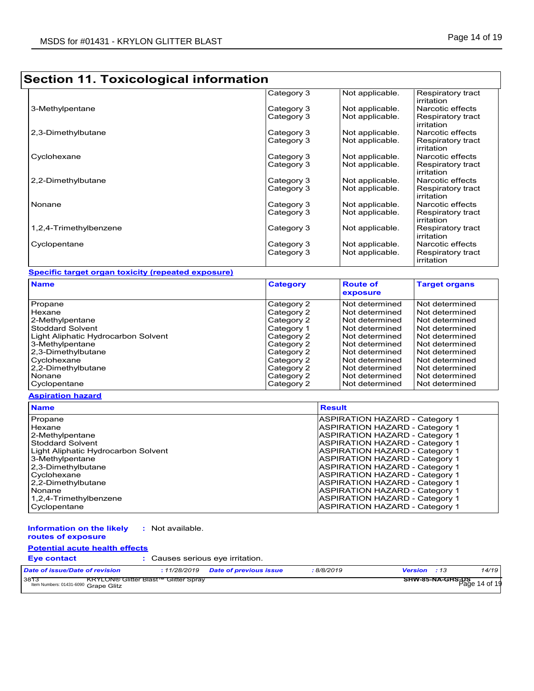|                        | Category 3 | Not applicable. | Respiratory tract<br>irritation |
|------------------------|------------|-----------------|---------------------------------|
| 3-Methylpentane        | Category 3 | Not applicable. | Narcotic effects                |
|                        | Category 3 | Not applicable. | Respiratory tract<br>irritation |
| 2,3-Dimethylbutane     | Category 3 | Not applicable. | Narcotic effects                |
|                        | Category 3 | Not applicable. | Respiratory tract<br>irritation |
| Cyclohexane            | Category 3 | Not applicable. | Narcotic effects                |
|                        | Category 3 | Not applicable. | Respiratory tract<br>irritation |
| 2,2-Dimethylbutane     | Category 3 | Not applicable. | Narcotic effects                |
|                        | Category 3 | Not applicable. | Respiratory tract<br>irritation |
| Nonane                 | Category 3 | Not applicable. | Narcotic effects                |
|                        | Category 3 | Not applicable. | Respiratory tract<br>irritation |
| 1,2,4-Trimethylbenzene | Category 3 | Not applicable. | Respiratory tract<br>irritation |
| Cyclopentane           | Category 3 | Not applicable. | Narcotic effects                |
|                        | Category 3 | Not applicable. | Respiratory tract<br>irritation |

#### **Specific target organ toxicity (repeated exposure)**

| <b>Name</b>                         | <b>Category</b> | <b>Route of</b><br>exposure | <b>Target organs</b> |
|-------------------------------------|-----------------|-----------------------------|----------------------|
| Propane                             | Category 2      | Not determined              | Not determined       |
| <b>Hexane</b>                       | Category 2      | Not determined              | Not determined       |
| 2-Methylpentane                     | Category 2      | Not determined              | Not determined       |
| <b>Stoddard Solvent</b>             | Category 1      | Not determined              | Not determined       |
| Light Aliphatic Hydrocarbon Solvent | Category 2      | Not determined              | Not determined       |
| 3-Methylpentane                     | Category 2      | Not determined              | Not determined       |
| 2,3-Dimethylbutane                  | Category 2      | Not determined              | Not determined       |
| Cyclohexane                         | Category 2      | Not determined              | Not determined       |
| 2,2-Dimethylbutane                  | Category 2      | Not determined              | Not determined       |
| Nonane                              | Category 2      | Not determined              | Not determined       |
| Cyclopentane                        | Category 2      | Not determined              | Not determined       |

#### **Aspiration hazard**

| <b>Name</b>                         | <b>Result</b>                         |
|-------------------------------------|---------------------------------------|
| Propane                             | ASPIRATION HAZARD - Category 1        |
| Hexane                              | ASPIRATION HAZARD - Category 1        |
| 2-Methylpentane                     | ASPIRATION HAZARD - Category 1        |
| <b>Stoddard Solvent</b>             | ASPIRATION HAZARD - Category 1        |
| Light Aliphatic Hydrocarbon Solvent | ASPIRATION HAZARD - Category 1        |
| 3-Methylpentane                     | ASPIRATION HAZARD - Category 1        |
| 2,3-Dimethylbutane                  | ASPIRATION HAZARD - Category 1        |
| Cyclohexane                         | ASPIRATION HAZARD - Category 1        |
| 2,2-Dimethylbutane                  | <b>ASPIRATION HAZARD - Category 1</b> |
| Nonane                              | ASPIRATION HAZARD - Category 1        |
| 1,2,4-Trimethylbenzene              | <b>ASPIRATION HAZARD - Category 1</b> |
| Cyclopentane                        | ASPIRATION HAZARD - Category 1        |

#### **Information on the likely routes of exposure :** Not available.

## **Potential acute health effects**

### **Eye contact :** Causes serious eye irritation.

| Date of issue/Date of revision               |                                             | 11/28/2019 | <b>Date of previous issue</b> | 8/8/2019 | <b>Version</b> : 13                      | 14/19 |
|----------------------------------------------|---------------------------------------------|------------|-------------------------------|----------|------------------------------------------|-------|
| 3813<br>Item Numbers: 01431-6090 Grape Glitz | <b>KRYLON® Glitter Blast™ Glitter Sprav</b> |            |                               |          | <b>SHW-85-NA-GHS-US</b><br>Page 14 of 19 |       |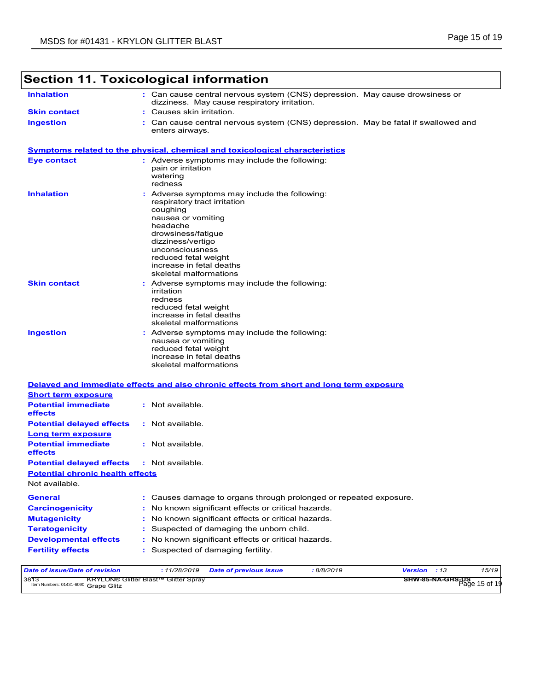| <b>Inhalation</b><br>dizziness. May cause respiratory irritation.                                                                                                                                                                                                                            | : Can cause central nervous system (CNS) depression. May cause drowsiness or     |
|----------------------------------------------------------------------------------------------------------------------------------------------------------------------------------------------------------------------------------------------------------------------------------------------|----------------------------------------------------------------------------------|
|                                                                                                                                                                                                                                                                                              |                                                                                  |
| <b>Skin contact</b><br>Causes skin irritation.                                                                                                                                                                                                                                               |                                                                                  |
| <b>Ingestion</b><br>enters airways.                                                                                                                                                                                                                                                          | Can cause central nervous system (CNS) depression. May be fatal if swallowed and |
| <b>Symptoms related to the physical, chemical and toxicological characteristics</b>                                                                                                                                                                                                          |                                                                                  |
| : Adverse symptoms may include the following:<br><b>Eye contact</b><br>pain or irritation<br>watering<br>redness                                                                                                                                                                             |                                                                                  |
| <b>Inhalation</b><br>: Adverse symptoms may include the following:<br>respiratory tract irritation<br>coughing<br>nausea or vomiting<br>headache<br>drowsiness/fatigue<br>dizziness/vertigo<br>unconsciousness<br>reduced fetal weight<br>increase in fetal deaths<br>skeletal malformations |                                                                                  |
| <b>Skin contact</b><br>Adverse symptoms may include the following:<br>irritation<br>redness<br>reduced fetal weight<br>increase in fetal deaths<br>skeletal malformations                                                                                                                    |                                                                                  |
| <b>Ingestion</b><br>Adverse symptoms may include the following:<br>nausea or vomiting<br>reduced fetal weight<br>increase in fetal deaths<br>skeletal malformations                                                                                                                          |                                                                                  |
| Delayed and immediate effects and also chronic effects from short and long term exposure<br><b>Short term exposure</b>                                                                                                                                                                       |                                                                                  |
| <b>Potential immediate</b><br>: Not available.<br>effects                                                                                                                                                                                                                                    |                                                                                  |
| <b>Potential delayed effects</b><br>: Not available.<br><u>Long term exposure</u>                                                                                                                                                                                                            |                                                                                  |
| <b>Potential immediate</b><br>: Not available.<br>effects                                                                                                                                                                                                                                    |                                                                                  |
| : Not available.<br><b>Potential delayed effects</b>                                                                                                                                                                                                                                         |                                                                                  |
| <b>Potential chronic health effects</b>                                                                                                                                                                                                                                                      |                                                                                  |
| Not available.                                                                                                                                                                                                                                                                               |                                                                                  |
| <b>General</b>                                                                                                                                                                                                                                                                               | : Causes damage to organs through prolonged or repeated exposure.                |
| : No known significant effects or critical hazards.<br><b>Carcinogenicity</b>                                                                                                                                                                                                                |                                                                                  |
| No known significant effects or critical hazards.<br><b>Mutagenicity</b>                                                                                                                                                                                                                     |                                                                                  |
| Suspected of damaging the unborn child.<br><b>Teratogenicity</b>                                                                                                                                                                                                                             |                                                                                  |
| <b>Developmental effects</b><br>: No known significant effects or critical hazards.<br>: Suspected of damaging fertility.<br><b>Fertility effects</b>                                                                                                                                        |                                                                                  |
|                                                                                                                                                                                                                                                                                              |                                                                                  |
| Date of issue/Date of revision<br>: 11/28/2019<br><b>Date of previous issue</b>                                                                                                                                                                                                              | : 8/8/2019<br>15/19<br><b>Version</b><br>:13                                     |

| 3813<br><b>KRYLON® Glitter Blast™ Glitter Spray</b> |                                               |
|-----------------------------------------------------|-----------------------------------------------|
| Item Numbers: 01431-6090 Grape Glitz                | <b>SHW-85-NA-GHS-US</b><br>Page 15 or reserve |
|                                                     |                                               |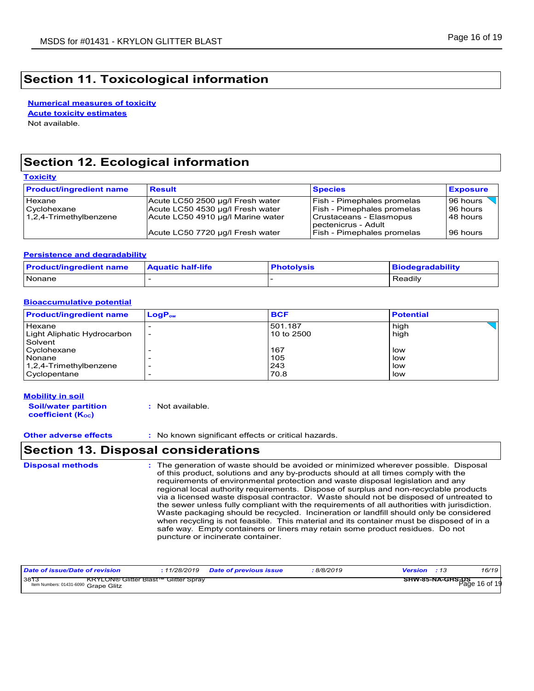**Numerical measures of toxicity** Not available. **Acute toxicity estimates**

## **Section 12. Ecological information**

**Toxicity**

| __________                                      |                                                                                                           |                                                                                                                          |                                  |
|-------------------------------------------------|-----------------------------------------------------------------------------------------------------------|--------------------------------------------------------------------------------------------------------------------------|----------------------------------|
| <b>Product/ingredient name</b>                  | <b>Result</b>                                                                                             | <b>Species</b>                                                                                                           | <b>Exposure</b>                  |
| Hexane<br>Cyclohexane<br>1,2,4-Trimethylbenzene | Acute LC50 2500 µg/l Fresh water<br>Acute LC50 4530 µg/l Fresh water<br>Acute LC50 4910 µg/l Marine water | <b>Fish - Pimephales promelas</b><br><b>Fish - Pimephales promelas</b><br>Crustaceans - Elasmopus<br>pectenicrus - Adult | 96 hours<br>96 hours<br>48 hours |
|                                                 | Acute LC50 7720 µg/l Fresh water                                                                          | <b>Fish - Pimephales promelas</b>                                                                                        | 96 hours                         |

#### **Persistence and degradability**

| <b>Product/ingredient name</b> | <b>Aquatic half-life</b> | <b>Photolysis</b> | <b>Biodegradability</b> |
|--------------------------------|--------------------------|-------------------|-------------------------|
| <b>Nonane</b>                  |                          |                   | Readily                 |

#### **Bioaccumulative potential**

| <b>Product/ingredient name</b> | $LogP_{ow}$              | <b>BCF</b> | <b>Potential</b> |
|--------------------------------|--------------------------|------------|------------------|
| Hexane                         |                          | 501.187    | high             |
| Light Aliphatic Hydrocarbon    | $\overline{\phantom{0}}$ | 10 to 2500 | high             |
| Solvent                        |                          |            |                  |
| Cyclohexane                    |                          | 167        | low              |
| Nonane                         |                          | 105        | low              |
| 1,2,4-Trimethylbenzene         |                          | 243        | low              |
| Cyclopentane                   |                          | 70.8       | low              |

#### **Mobility in soil**

**Soil/water partition coefficient (KOC) :** Not available.

**Other adverse effects :** No known significant effects or critical hazards.

## **Section 13. Disposal considerations**

The generation of waste should be avoided or minimized wherever possible. Disposal of this product, solutions and any by-products should at all times comply with the requirements of environmental protection and waste disposal legislation and any regional local authority requirements. Dispose of surplus and non-recyclable products via a licensed waste disposal contractor. Waste should not be disposed of untreated to the sewer unless fully compliant with the requirements of all authorities with jurisdiction. Waste packaging should be recycled. Incineration or landfill should only be considered when recycling is not feasible. This material and its container must be disposed of in a safe way. Empty containers or liners may retain some product residues. Do not puncture or incinerate container. **Disposal methods :**

| Date of issue/Date of revision                                                              | 11/28/2019 | <b>Date of previous issue</b> | 8/8/2019 | <b>Version</b> : 13                      | 16/19 |
|---------------------------------------------------------------------------------------------|------------|-------------------------------|----------|------------------------------------------|-------|
| 3873<br><b>KRYLON® Glitter Blast™ Glitter Spray</b><br>Item Numbers: 01431-6090 Grape Glitz |            |                               |          | <b>SHW-85-NA-GHS-DS</b><br>Page 16 of 19 |       |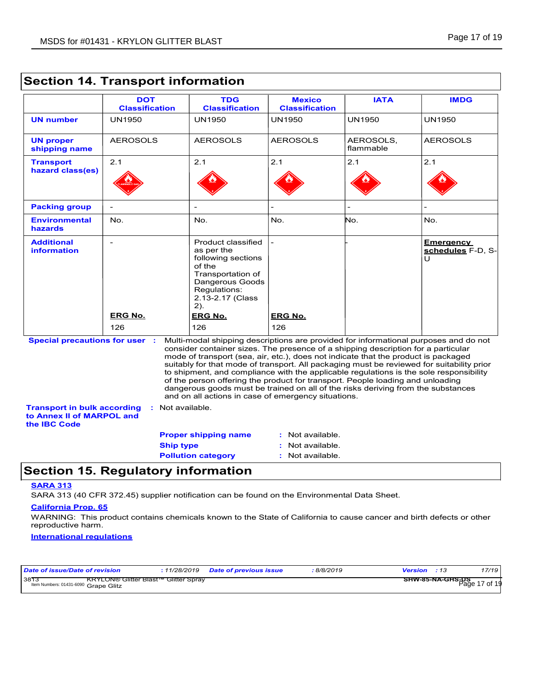|                                                                                        | <b>DOT</b><br><b>Classification</b>        | <b>TDG</b><br><b>Classification</b>                                                                                                                                                                                                                                                                                                                                                                  | <b>Mexico</b><br><b>Classification</b> | <b>IATA</b>            | <b>IMDG</b>                                                                                                                                                                                                                                                                 |
|----------------------------------------------------------------------------------------|--------------------------------------------|------------------------------------------------------------------------------------------------------------------------------------------------------------------------------------------------------------------------------------------------------------------------------------------------------------------------------------------------------------------------------------------------------|----------------------------------------|------------------------|-----------------------------------------------------------------------------------------------------------------------------------------------------------------------------------------------------------------------------------------------------------------------------|
| <b>UN number</b>                                                                       | <b>UN1950</b>                              | <b>UN1950</b>                                                                                                                                                                                                                                                                                                                                                                                        | <b>UN1950</b>                          | <b>UN1950</b>          | <b>UN1950</b>                                                                                                                                                                                                                                                               |
| <b>UN proper</b><br>shipping name                                                      | <b>AEROSOLS</b>                            | <b>AEROSOLS</b>                                                                                                                                                                                                                                                                                                                                                                                      | <b>AEROSOLS</b>                        | AEROSOLS,<br>flammable | <b>AEROSOLS</b>                                                                                                                                                                                                                                                             |
| <b>Transport</b><br>hazard class(es)                                                   | 2.1                                        | 2.1                                                                                                                                                                                                                                                                                                                                                                                                  | 2.1                                    | 2.1                    | 2.1                                                                                                                                                                                                                                                                         |
| <b>Packing group</b>                                                                   |                                            |                                                                                                                                                                                                                                                                                                                                                                                                      |                                        |                        |                                                                                                                                                                                                                                                                             |
| <b>Environmental</b><br>hazards                                                        | No.                                        | No.                                                                                                                                                                                                                                                                                                                                                                                                  | No.                                    | No.                    | No.                                                                                                                                                                                                                                                                         |
| <b>Additional</b><br><i>information</i>                                                | $\overline{\phantom{a}}$<br><b>ERG No.</b> | Product classified<br>as per the<br>following sections<br>of the<br>Transportation of<br>Dangerous Goods<br>Requlations:<br>2.13-2.17 (Class<br>2).<br><b>ERG No.</b>                                                                                                                                                                                                                                | <b>ERG No.</b>                         |                        | <b>Emergency</b><br>schedules F-D, S-<br>U                                                                                                                                                                                                                                  |
|                                                                                        | 126                                        | 126                                                                                                                                                                                                                                                                                                                                                                                                  | 126                                    |                        |                                                                                                                                                                                                                                                                             |
| <b>Special precautions for user :</b>                                                  |                                            | consider container sizes. The presence of a shipping description for a particular<br>mode of transport (sea, air, etc.), does not indicate that the product is packaged<br>of the person offering the product for transport. People loading and unloading<br>dangerous goods must be trained on all of the risks deriving from the substances<br>and on all actions in case of emergency situations. |                                        |                        | Multi-modal shipping descriptions are provided for informational purposes and do not<br>suitably for that mode of transport. All packaging must be reviewed for suitability prior<br>to shipment, and compliance with the applicable regulations is the sole responsibility |
| <b>Transport in bulk according</b><br>to Annex II of MARPOL and<br>the <b>IBC</b> Code | Not available.<br>÷.                       |                                                                                                                                                                                                                                                                                                                                                                                                      |                                        |                        |                                                                                                                                                                                                                                                                             |
|                                                                                        |                                            | <b>Proper shipping name</b>                                                                                                                                                                                                                                                                                                                                                                          | : Not available.                       |                        |                                                                                                                                                                                                                                                                             |
|                                                                                        | <b>Ship type</b>                           |                                                                                                                                                                                                                                                                                                                                                                                                      | : Not available.                       |                        |                                                                                                                                                                                                                                                                             |
|                                                                                        |                                            | <b>Pollution category</b>                                                                                                                                                                                                                                                                                                                                                                            | : Not available.                       |                        |                                                                                                                                                                                                                                                                             |

## **Section 14. Transport information**

## **Section 15. Regulatory information**

#### **SARA 313**

SARA 313 (40 CFR 372.45) supplier notification can be found on the Environmental Data Sheet.

#### **California Prop. 65**

WARNING: This product contains chemicals known to the State of California to cause cancer and birth defects or other reproductive harm.

#### **International regulations**

| Date of issue/Date of revision                                                              |  | 8/8/2019 <del>:</del> | <b>Version</b> : 13               | 17/19 |
|---------------------------------------------------------------------------------------------|--|-----------------------|-----------------------------------|-------|
| 3813<br><b>KRYLON® Glitter Blast™ Glitter Spray</b><br>Item Numbers: 01431-6090 Grape Glitz |  |                       | SHW-85-NA-GHS-DS<br>Page 17 of 19 |       |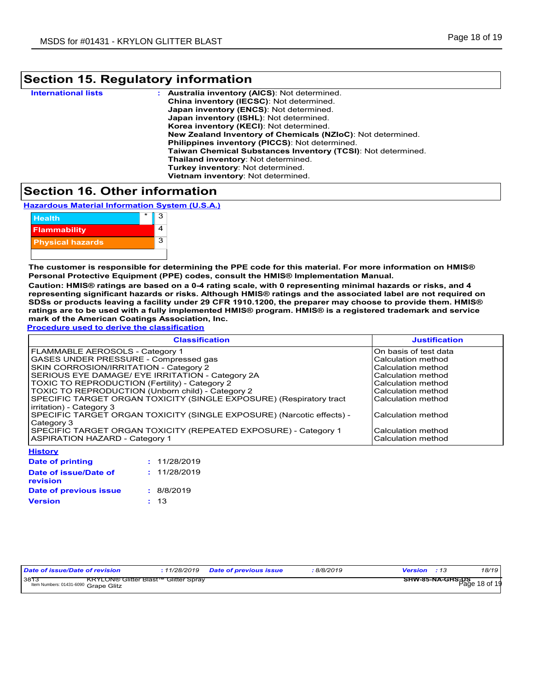# **Section 15. Regulatory information**

| <b>International lists</b> | <b>Australia inventory (AICS): Not determined.</b>           |
|----------------------------|--------------------------------------------------------------|
|                            | China inventory (IECSC): Not determined.                     |
|                            | Japan inventory (ENCS): Not determined.                      |
|                            | Japan inventory (ISHL): Not determined.                      |
|                            | Korea inventory (KECI): Not determined.                      |
|                            | New Zealand Inventory of Chemicals (NZIoC): Not determined.  |
|                            | <b>Philippines inventory (PICCS): Not determined.</b>        |
|                            | Taiwan Chemical Substances Inventory (TCSI): Not determined. |
|                            | Thailand inventory: Not determined.                          |
|                            | Turkey inventory: Not determined.                            |
|                            | Vietnam inventory: Not determined.                           |
|                            |                                                              |

## **Section 16. Other information**

**Hazardous Material Information System (U.S.A.)**



**The customer is responsible for determining the PPE code for this material. For more information on HMIS® Personal Protective Equipment (PPE) codes, consult the HMIS® Implementation Manual.**

**Caution: HMIS® ratings are based on a 0-4 rating scale, with 0 representing minimal hazards or risks, and 4 representing significant hazards or risks. Although HMIS® ratings and the associated label are not required on SDSs or products leaving a facility under 29 CFR 1910.1200, the preparer may choose to provide them. HMIS® ratings are to be used with a fully implemented HMIS® program. HMIS® is a registered trademark and service mark of the American Coatings Association, Inc.**

**Procedure used to derive the classification**

| <b>Classification</b>                                                 | <b>Justification</b>   |
|-----------------------------------------------------------------------|------------------------|
| FLAMMABLE AEROSOLS - Category 1                                       | IOn basis of test data |
| GASES UNDER PRESSURE - Compressed gas                                 | Calculation method     |
| SKIN CORROSION/IRRITATION - Category 2                                | Calculation method     |
| SERIOUS EYE DAMAGE/ EYE IRRITATION - Category 2A                      | Calculation method     |
| TOXIC TO REPRODUCTION (Fertility) - Category 2                        | Calculation method     |
| TOXIC TO REPRODUCTION (Unborn child) - Category 2                     | Calculation method     |
| SPECIFIC TARGET ORGAN TOXICITY (SINGLE EXPOSURE) (Respiratory tract   | l Calculation method   |
| irritation) - Category 3                                              |                        |
| SPECIFIC TARGET ORGAN TOXICITY (SINGLE EXPOSURE) (Narcotic effects) - | Calculation method     |
| Category 3                                                            |                        |
| SPECIFIC TARGET ORGAN TOXICITY (REPEATED EXPOSURE) - Category 1       | Calculation method     |
| <b>ASPIRATION HAZARD - Category 1</b>                                 | Calculation method     |
| <b>History</b>                                                        |                        |

| Date of printing                         | : 11/28/2019 |
|------------------------------------------|--------------|
| Date of issue/Date of<br><b>revision</b> | : 11/28/2019 |
| Date of previous issue                   | : 8/8/2019   |
| <b>Version</b>                           | : 13         |

|                                                                                                                               |  | 11/28/2019 | Date of previous issue | 8/8/2019 | Version                               | 18/19 |
|-------------------------------------------------------------------------------------------------------------------------------|--|------------|------------------------|----------|---------------------------------------|-------|
| Date of issue/Date of revision<br>3813<br><b>KRYLON® Glitter Blast™ Glitter Spray</b><br>Item Numbers: 01431-6090 Grape Glitz |  |            |                        |          | ——— SHW-85-NA-GHS-DS<br>Page 18 of 19 |       |